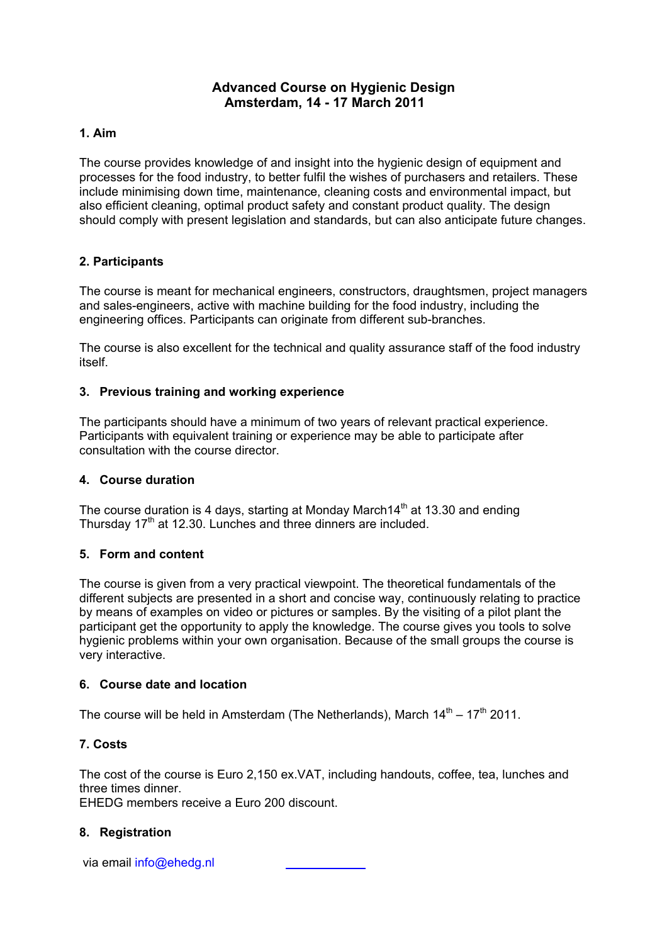# **Advanced Course on Hygienic Design Amsterdam, 14 - 17 March 2011**

#### **1. Aim**

The course provides knowledge of and insight into the hygienic design of equipment and processes for the food industry, to better fulfil the wishes of purchasers and retailers. These include minimising down time, maintenance, cleaning costs and environmental impact, but also efficient cleaning, optimal product safety and constant product quality. The design should comply with present legislation and standards, but can also anticipate future changes.

## **2. Participants**

The course is meant for mechanical engineers, constructors, draughtsmen, project managers and sales-engineers, active with machine building for the food industry, including the engineering offices. Participants can originate from different sub-branches.

The course is also excellent for the technical and quality assurance staff of the food industry itself.

## **3. Previous training and working experience**

The participants should have a minimum of two years of relevant practical experience. Participants with equivalent training or experience may be able to participate after consultation with the course director.

#### **4. Course duration**

The course duration is 4 days, starting at Monday March  $14<sup>th</sup>$  at 13.30 and ending Thursday  $17<sup>th</sup>$  at 12.30. Lunches and three dinners are included.

#### **5. Form and content**

The course is given from a very practical viewpoint. The theoretical fundamentals of the different subjects are presented in a short and concise way, continuously relating to practice by means of examples on video or pictures or samples. By the visiting of a pilot plant the participant get the opportunity to apply the knowledge. The course gives you tools to solve hygienic problems within your own organisation. Because of the small groups the course is very interactive.

#### **6. Course date and location**

The course will be held in Amsterdam (The Netherlands), March  $14<sup>th</sup> - 17<sup>th</sup>$  2011.

## **7. Costs**

The cost of the course is Euro 2,150 ex.VAT, including handouts, coffee, tea, lunches and three times dinner.

EHEDG members receive a Euro 200 discount.

## **8. Registration**

via email info@ehedg.nl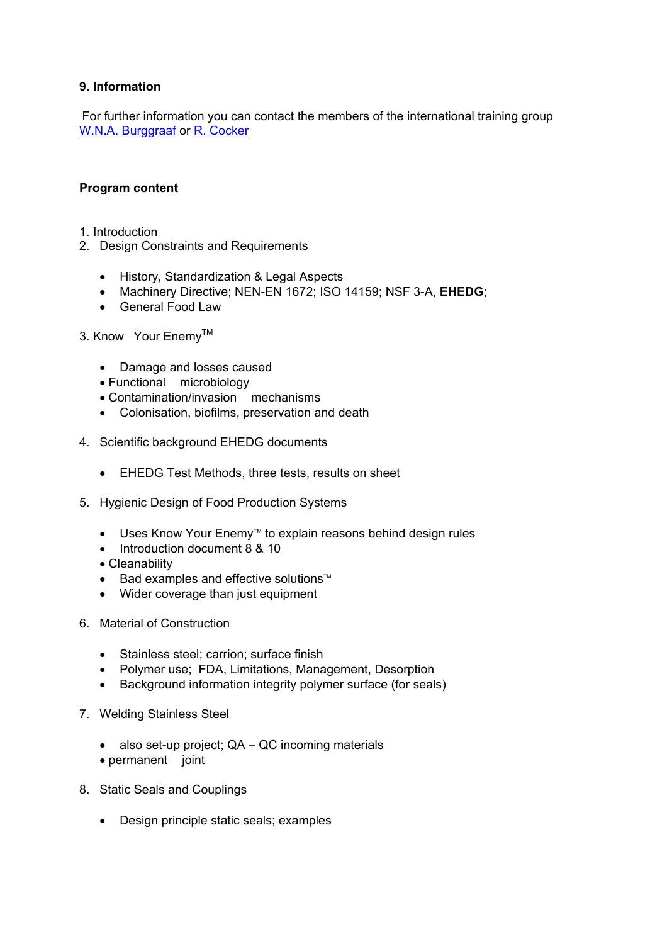## **9. Information**

For further information you can contact the members of the international training group W.N.A. Burggraaf or R. Cocker

#### **Program content**

- 1. Introduction
- 2. Design Constraints and Requirements
	- History, Standardization & Legal Aspects
	- Machinery Directive; NEN-EN 1672; ISO 14159; NSF 3-A, **EHEDG**;
	- General Food Law
- 3. Know Your Enemy<sup>™</sup>
	- Damage and losses caused
	- Functional microbiology
	- Contamination/invasion mechanisms
	- Colonisation, biofilms, preservation and death
- 4. Scientific background EHEDG documents
	- EHEDG Test Methods, three tests, results on sheet
- 5. Hygienic Design of Food Production Systems
	- Uses Know Your Enemy™ to explain reasons behind design rules
	- Introduction document 8 & 10
	- Cleanability
	- $\bullet$  Bad examples and effective solutions<sup> $M$ </sup>
	- Wider coverage than just equipment
- 6. Material of Construction
	- Stainless steel; carrion; surface finish
	- Polymer use; FDA, Limitations, Management, Desorption
	- Background information integrity polymer surface (for seals)
- 7. Welding Stainless Steel
	- also set-up project; QA QC incoming materials
	- permanent joint
- 8. Static Seals and Couplings
	- Design principle static seals; examples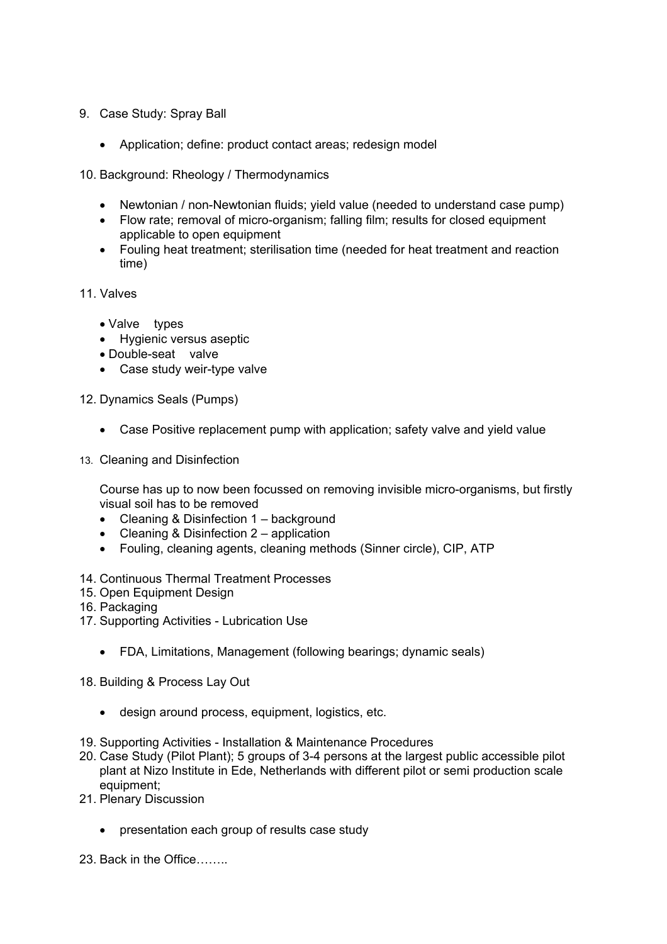- 9. Case Study: Spray Ball
	- Application; define: product contact areas; redesign model
- 10. Background: Rheology / Thermodynamics
	- Newtonian / non-Newtonian fluids; yield value (needed to understand case pump)
	- Flow rate; removal of micro-organism; falling film; results for closed equipment applicable to open equipment
	- Fouling heat treatment; sterilisation time (needed for heat treatment and reaction time)
- 11. Valves
	- Valve types
	- Hygienic versus aseptic
	- Double-seat valve
	- Case study weir-type valve

12. Dynamics Seals (Pumps)

- Case Positive replacement pump with application; safety valve and yield value
- 13. Cleaning and Disinfection

Course has up to now been focussed on removing invisible micro-organisms, but firstly visual soil has to be removed

- Cleaning & Disinfection 1 background
- Cleaning & Disinfection 2 application
- Fouling, cleaning agents, cleaning methods (Sinner circle), CIP, ATP
- 14. Continuous Thermal Treatment Processes
- 15. Open Equipment Design
- 16. Packaging
- 17. Supporting Activities Lubrication Use
	- FDA, Limitations, Management (following bearings; dynamic seals)
- 18. Building & Process Lay Out
	- design around process, equipment, logistics, etc.
- 19. Supporting Activities Installation & Maintenance Procedures
- 20. Case Study (Pilot Plant); 5 groups of 3-4 persons at the largest public accessible pilot plant at Nizo Institute in Ede, Netherlands with different pilot or semi production scale equipment;
- 21. Plenary Discussion
	- presentation each group of results case study
- 23. Back in the Office……..